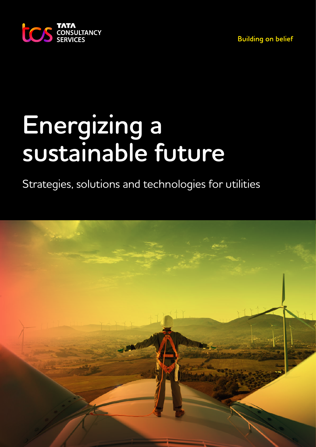**Building on belief** 



# **Energizing a sustainable future**

Strategies, solutions and technologies for utilities

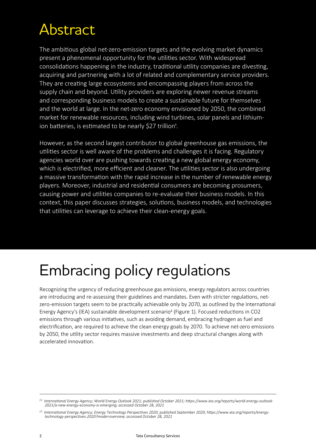### Abstract

The ambitious global net-zero-emission targets and the evolving market dynamics present a phenomenal opportunity for the utilities sector. With widespread consolidations happening in the industry, traditional utility companies are divesting, acquiring and partnering with a lot of related and complementary service providers. They are creating large ecosystems and encompassing players from across the supply chain and beyond. Utility providers are exploring newer revenue streams and corresponding business models to create a sustainable future for themselves and the world at large. In the net-zero economy envisioned by 2050, the combined market for renewable resources, including wind turbines, solar panels and lithiumion batteries, is estimated to be nearly \$27 trillion<sup>1</sup>.

However, as the second largest contributor to global greenhouse gas emissions, the utilities sector is well aware of the problems and challenges it is facing. Regulatory agencies world over are pushing towards creating a new global energy economy, which is electrified, more efficient and cleaner. The utilities sector is also undergoing a massive transformation with the rapid increase in the number of renewable energy players. Moreover, industrial and residential consumers are becoming prosumers, causing power and utilities companies to re-evaluate their business models. In this context, this paper discusses strategies, solutions, business models, and technologies that utilities can leverage to achieve their clean-energy goals.

## Embracing policy regulations

Recognizing the urgency of reducing greenhouse gas emissions, energy regulators across countries are introducing and re-assessing their guidelines and mandates. Even with stricter regulations, netzero-emission targets seem to be practically achievable only by 2070, as outlined by the International Energy Agency's (IEA) sustainable development scenario2 (Figure 1). Focused reductions in CO2 emissions through various initiatives, such as avoiding demand, embracing hydrogen as fuel and electrification, are required to achieve the clean energy goals by 2070. To achieve net-zero emissions by 2050, the utility sector requires massive investments and deep structural changes along with accelerated innovation.

*<sup>[1]</sup> International Energy Agency; World Energy Outlook 2021; published October 2021; https://www.iea.org/reports/world-energy-outlook-2021/a-new-energy-economy-is-emerging; accessed October 28, 2021*

*<sup>[2]</sup> International Energy Agency; Energy Technology Perspectives 2020; published September 2020; https://www.iea.org/reports/energytechnology-perspectives-2020?mode=overview; accessed October 28, 2021*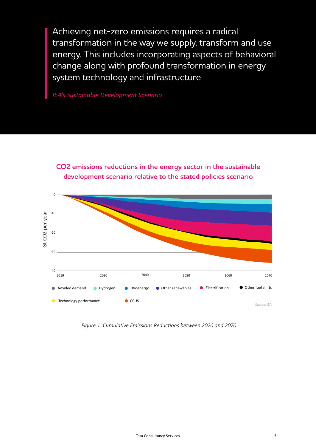Achieving net-zero emissions requires a radical transformation in the way we supply, transform and use energy. This includes incorporating aspects of behavioral change along with profound transformation in energy system technology and infrastructure

*IEA's Sustainable Development Scenario* 

**CO emissions reductions in the energy sector in the sustainable development scenario relative to the stated policies scenario**



*Figure 1: Cumulative Emissions Reductions between 2020 and 2070*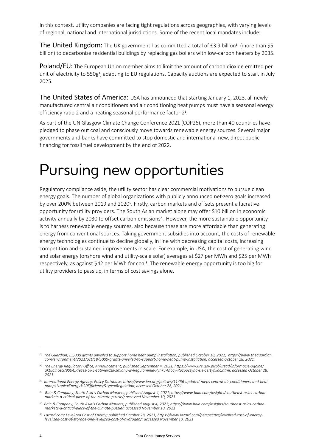In this context, utility companies are facing tight regulations across geographies, with varying levels of regional, national and international jurisdictions. Some of the recent local mandates include:

The United Kingdom: The UK government has committed a total of  $E3.9$  billion<sup>3</sup> (more than \$5 billion) to decarbonize residential buildings by replacing gas boilers with low-carbon heaters by 2035.

Poland/EU: The European Union member aims to limit the amount of carbon dioxide emitted per unit of electricity to 550g<sup>4</sup>, adapting to EU regulations. Capacity auctions are expected to start in July 2025.

The United States of America: USA has announced that starting January 1, 2023, all newly manufactured central air conditioners and air conditioning heat pumps must have a seasonal energy efficiency ratio 2 and a heating seasonal performance factor 25.

As part of the UN Glasgow Climate Change Conference 2021 (COP26), more than 40 countries have pledged to phase out coal and consciously move towards renewable energy sources. Several major governments and banks have committed to stop domestic and international new, direct public financing for fossil fuel development by the end of 2022.

#### Pursuing new opportunities

Regulatory compliance aside, the utility sector has clear commercial motivations to pursue clean energy goals. The number of global organizations with publicly announced net-zero goals increased by over 200% between 2019 and 20206. Firstly, carbon markets and offsets present a lucrative opportunity for utility providers. The South Asian market alone may offer \$10 billion in economic activity annually by 2030 to offset carbon emissions<sup>7</sup>. However, the more sustainable opportunity is to harness renewable energy sources, also because these are more affordable than generating energy from conventional sources. Taking government subsidies into account, the costs of renewable energy technologies continue to decline globally, in line with decreasing capital costs, increasing competition and sustained improvements in scale. For example, in USA, the cost of generating wind and solar energy (onshore wind and utility-scale solar) averages at \$27 per MWh and \$25 per MWh respectively, as against \$42 per MWh for coal<sup>8</sup>. The renewable energy opportunity is too big for utility providers to pass up, in terms of cost savings alone.

*<sup>[3]</sup> The Guardian; £5,000 grants unveiled to support home heat pump installation; published October 18, 2021; https://www.theguardian. com/environment/2021/oct/18/5000-grants-unveiled-to-support-home-heat-pump-installation; accessed October 28, 2021* 

*<sup>[4]</sup> The Energy Regulatory Office; Announcement; published September 4, 2021; https://www.ure.gov.pl/pl/urzad/informacje-ogolne/ aktualnosci/9004,Prezes-URE-zatwierdzil-zmiany-w-Regulaminie-Rynku-Mocy-Rozpoczyna-sie-certyfikac.html; accessed October 28, 2021* 

*<sup>[5]</sup> International Energy Agency; Policy Database; https://www.iea.org/policies/11456-updated-meps-central-air-conditioners-and-heatpumps?topic=Energy%20Efficiency&type=Regulation; accessed October 28, 2021* 

*<sup>[6]</sup> Bain & Company; South Asia's Carbon Markets; published August 4, 2021; https://www.bain.com/insights/southeast-asias-carbonmarkets-a-critical-piece-of-the-climate-puzzle/; accessed November 10, 2021* 

*<sup>[7]</sup> Bain & Company; South Asia's Carbon Markets; published August 4, 2021; https://www.bain.com/insights/southeast-asias-carbonmarkets-a-critical-piece-of-the-climate-puzzle/; accessed November 10, 2021*

*<sup>[8]</sup> Lazard.com; Levelized Cost of Energy; published October 28, 2021; https://www.lazard.com/perspective/levelized-cost-of-energylevelized-cost-of-storage-and-levelized-cost-of-hydrogen/; accessed November 10, 2021*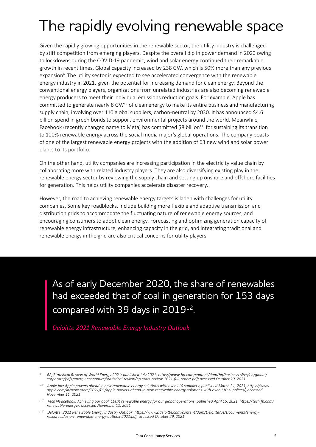### The rapidly evolving renewable space

Given the rapidly growing opportunities in the renewable sector, the utility industry is challenged by stiff competition from emerging players. Despite the overall dip in power demand in 2020 owing to lockdowns during the COVID-19 pandemic, wind and solar energy continued their remarkable growth in recent times. Global capacity increased by 238 GW, which is 50% more than any previous expansion<sup>9</sup>. The utility sector is expected to see accelerated convergence with the renewable energy industry in 2021, given the potential for increasing demand for clean energy. Beyond the conventional energy players, organizations from unrelated industries are also becoming renewable energy producers to meet their individual emissions reduction goals. For example, Apple has committed to generate nearly 8 GW<sup>10</sup> of clean energy to make its entire business and manufacturing supply chain, involving over 110 global suppliers, carbon-neutral by 2030. It has announced \$4.6 billion spend in green bonds to support environmental projects around the world. Meanwhile, Facebook (recently changed name to Meta) has committed \$8 billion<sup>11</sup> for sustaining its transition to 100% renewable energy across the social media major's global operations. The company boasts of one of the largest renewable energy projects with the addition of 63 new wind and solar power plants to its portfolio.

On the other hand, utility companies are increasing participation in the electricity value chain by collaborating more with related industry players. They are also diversifying existing play in the renewable energy sector by reviewing the supply chain and setting up onshore and offshore facilities for generation. This helps utility companies accelerate disaster recovery.

However, the road to achieving renewable energy targets is laden with challenges for utility companies. Some key roadblocks, include building more flexible and adaptive transmission and distribution grids to accommodate the fluctuating nature of renewable energy sources, and encouraging consumers to adopt clean energy. Forecasting and optimizing generation capacity of renewable energy infrastructure, enhancing capacity in the grid, and integrating traditional and renewable energy in the grid are also critical concerns for utility players.

As of early December 2020, the share of renewables had exceeded that of coal in generation for 153 days compared with 39 days in 2019<sup>12</sup>.

*Deloitte 2021 Renewable Energy Industry Outlook* 

*<sup>[9]</sup> BP; Statistical Review of World Energy 2021; published July 2021; https://www.bp.com/content/dam/bp/business-sites/en/global/ corporate/pdfs/energy-economics/statistical-review/bp-stats-review-2021-full-report.pdf; accessed October 29, 2021* 

*<sup>[10]</sup> Apple Inc; Apple powers ahead in new renewable energy solutions with over 110 suppliers; published March 31, 2021; https://www. apple.com/in/newsroom/2021/03/apple-powers-ahead-in-new-renewable-energy-solutions-with-over-110-suppliers/; accessed November 11, 2021* 

*<sup>[11]</sup> Tech@Facebook; Achieving our goal: 100% renewable energy for our global operations; published April 15, 2021; https://tech.fb.com/ renewable-energy/; accessed November 11, 2021* 

*<sup>[12]</sup> Deloitte; 2021 Renewable Energy Industry Outlook; https://www2.deloitte.com/content/dam/Deloitte/us/Documents/energyresources/us-eri-renewable-energy-outlook-2021.pdf; accessed October 29, 2021*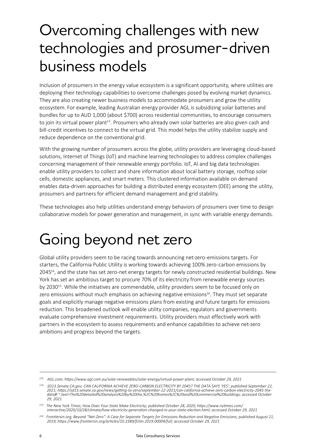#### Overcoming challenges with new technologies and prosumer-driven business models

Inclusion of prosumers in the energy value ecosystem is a significant opportunity, where utilities are deploying their technology capabilities to overcome challenges posed by evolving market dynamics. They are also creating newer business models to accommodate prosumers and grow the utility ecosystem. For example, leading Australian energy provider AGL is subsidizing solar batteries and bundles for up to AUD 1,000 (about \$700) across residential communities, to encourage consumers to join its virtual power plant<sup>13</sup>. Prosumers who already own solar batteries are also given cash and bill-credit incentives to connect to the virtual grid. This model helps the utility stabilize supply and reduce dependence on the conventional grid.

With the growing number of prosumers across the globe, utility providers are leveraging cloud-based solutions, Internet of Things (IoT) and machine learning technologies to address complex challenges concerning management of their renewable energy portfolio. IoT, AI and big data technologies enable utility providers to collect and share information about local battery storage, rooftop solar cells, domestic appliances, and smart meters. This clustered information available on demand enables data-driven approaches for building a distributed energy ecosystem (DEE) among the utility, prosumers and partners for efficient demand management and grid stability.

These technologies also help utilities understand energy behaviors of prosumers over time to design collaborative models for power generation and management, in sync with variable energy demands.

#### Going beyond net zero

Global utility providers seem to be racing towards announcing net-zero-emissions targets. For starters, the California Public Utility is working towards achieving 100% zero-carbon emissions by 204514, and the state has set zero-net energy targets for newly constructed residential buildings. New York has set an ambitious target to procure 70% of its electricity from renewable energy sources by 2030<sup>15</sup>. While the initiatives are commendable, utility providers seem to be focused only on zero emissions without much emphasis on achieving negative emissions<sup>16</sup>. They must set separate goals and explicitly manage negative emissions plans from existing and future targets for emissions reduction. This broadened outlook will enable utility companies, regulators and governments evaluate comprehensive investment requirements. Utility providers must effectively work with partners in the ecosystem to assess requirements and enhance capabilities to achieve net-zero ambitions and progress beyond the targets.

*<sup>[13]</sup> AGL.com; https://www.agl.com.au/solar-renewables/solar-energy/virtual-power-plant; accessed October 29, 2021* 

*<sup>[14]</sup> SD13.Senate.CA.gov; CAN CALIFORNIA ACHIEVE ZERO-CARBON ELECTRICITY BY 2045? THE DATA SAYS 'YES'; published September 22, 2021; https://sd13.senate.ca.gov/news/getting-to-zero/september-22-2021/can-california-achieve-zero-carbon-electricity-2045-thedata#:~:text=The%20detailed%20analysis%20by%20the,%2C%20homes%2C%20and%20commercial%20buildings; accessed October 29, 2021* 

*<sup>[15]</sup> The New York Times; How Does Your State Make Electricity; published October 28, 2020; https://www.nytimes.com/ interactive/2020/10/28/climate/how-electricity-generation-changed-in-your-state-election.html; accessed October 29, 2021* 

*<sup>[16]</sup> Frontiersin.org; Beyond "Net-Zero": A Case for Separate Targets for Emissions Reduction and Negative Emissions; published August 21, 2019; https://www.frontiersin.org/articles/10.3389/fclim.2019.00004/full; accessed October 29, 2021*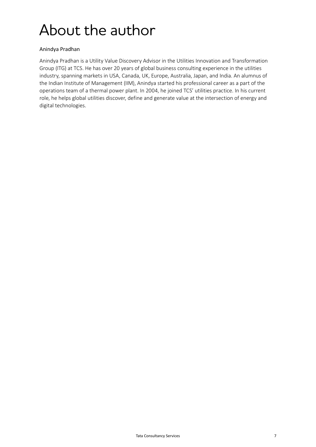### About the author

#### Anindya Pradhan

Anindya Pradhan is a Utility Value Discovery Advisor in the Utilities Innovation and Transformation Group (ITG) at TCS. He has over 20 years of global business consulting experience in the utilities industry, spanning markets in USA, Canada, UK, Europe, Australia, Japan, and India. An alumnus of the Indian Institute of Management (IIM), Anindya started his professional career as a part of the operations team of a thermal power plant. In 2004, he joined TCS' utilities practice. In his current role, he helps global utilities discover, define and generate value at the intersection of energy and digital technologies.